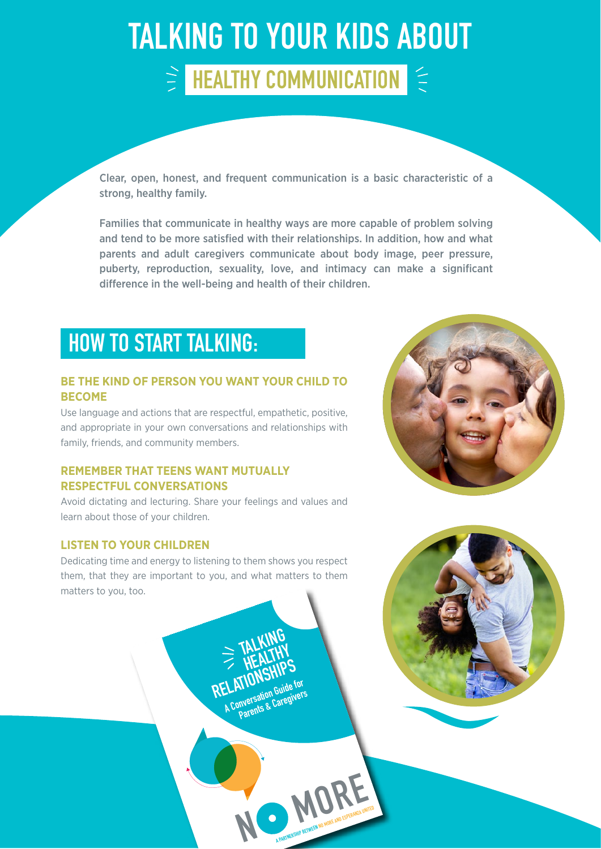## TALKING TO YOUR KIDS ABOUT  $\geq$  HEALTHY COMMUNICATION  $\leq$

Clear, open, honest, and frequent communication is a basic characteristic of a strong, healthy family.

Families that communicate in healthy ways are more capable of problem solving and tend to be more satisfied with their relationships. In addition, how and what parents and adult caregivers communicate about body image, peer pressure, puberty, reproduction, sexuality, love, and intimacy can make a significant difference in the well-being and health of their children.

### HOW TO START TALKING:

### **BE THE KIND OF PERSON YOU WANT YOUR CHILD TO BECOME**

Use language and actions that are respectful, empathetic, positive, and appropriate in your own conversations and relationships with family, friends, and community members.

### **REMEMBER THAT TEENS WANT MUTUALLY RESPECTFUL CONVERSATIONS**

Avoid dictating and lecturing. Share your feelings and values and learn about those of your children.

### **LISTEN TO YOUR CHILDREN**

Dedicating time and energy to listening to them shows you respect them, that they are important to you, and what matters to them matters to you, too.

**N**

 **TALKING** 

**ELAITONNE Guide for**<br>A Conversation Guide for **Inversation buildings**<br>Parents & Caregivers

**HEALTHY**<br>
FIEALTHY<br>
RELATIONSHIPS<br>
RELATIONSHIPS

**MORE AND ESPERANZA UNITED**